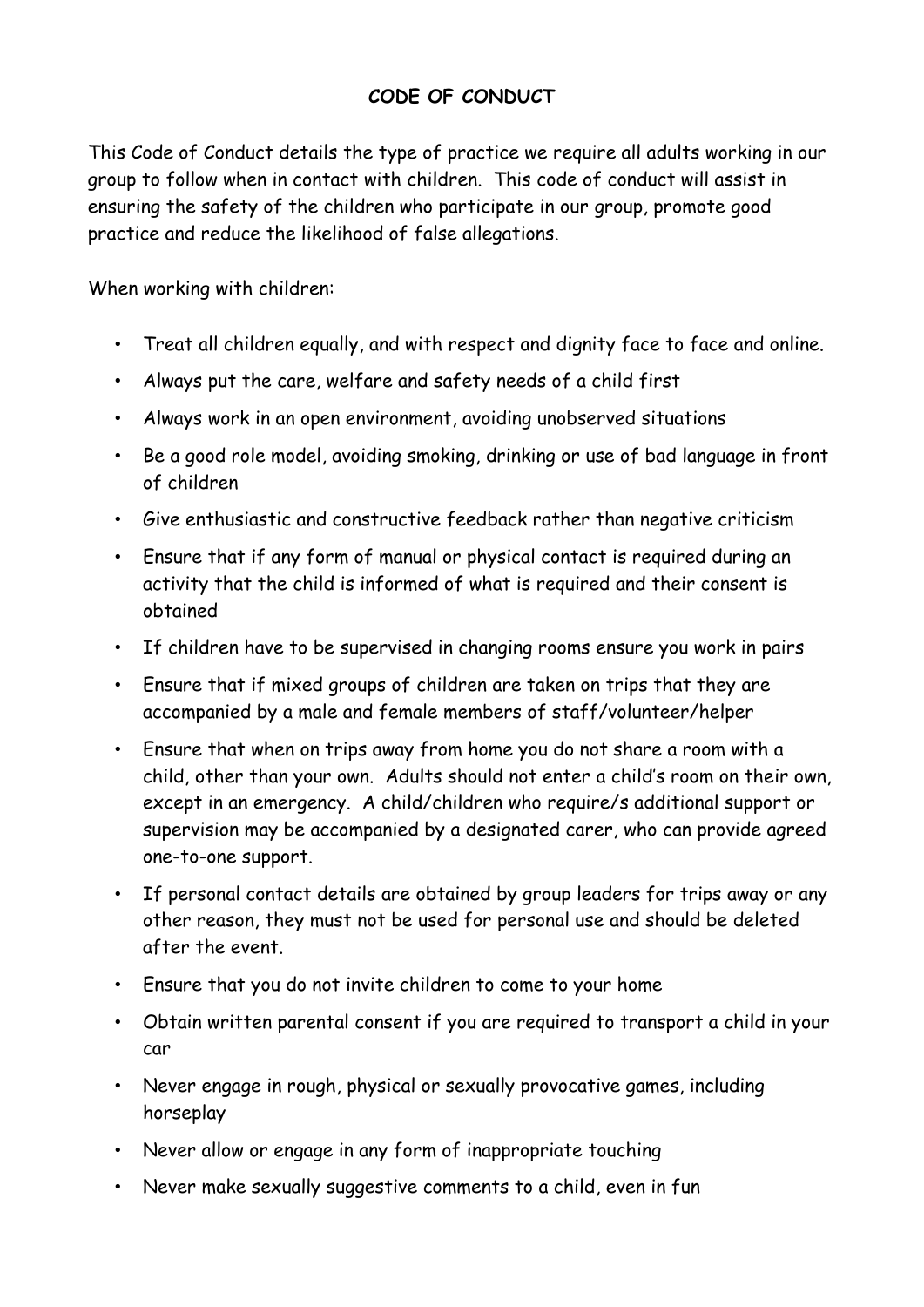## **CODE OF CONDUCT**

This Code of Conduct details the type of practice we require all adults working in our group to follow when in contact with children. This code of conduct will assist in ensuring the safety of the children who participate in our group, promote good practice and reduce the likelihood of false allegations.

When working with children:

- Treat all children equally, and with respect and dignity face to face and online.
- Always put the care, welfare and safety needs of a child first
- Always work in an open environment, avoiding unobserved situations
- Be a good role model, avoiding smoking, drinking or use of bad language in front of children
- Give enthusiastic and constructive feedback rather than negative criticism
- Ensure that if any form of manual or physical contact is required during an activity that the child is informed of what is required and their consent is obtained
- If children have to be supervised in changing rooms ensure you work in pairs
- Ensure that if mixed groups of children are taken on trips that they are accompanied by a male and female members of staff/volunteer/helper
- Ensure that when on trips away from home you do not share a room with a child, other than your own. Adults should not enter a child's room on their own, except in an emergency. A child/children who require/s additional support or supervision may be accompanied by a designated carer, who can provide agreed one-to-one support.
- If personal contact details are obtained by group leaders for trips away or any other reason, they must not be used for personal use and should be deleted after the event.
- Ensure that you do not invite children to come to your home
- Obtain written parental consent if you are required to transport a child in your car
- Never engage in rough, physical or sexually provocative games, including horseplay
- Never allow or engage in any form of inappropriate touching
- Never make sexually suggestive comments to a child, even in fun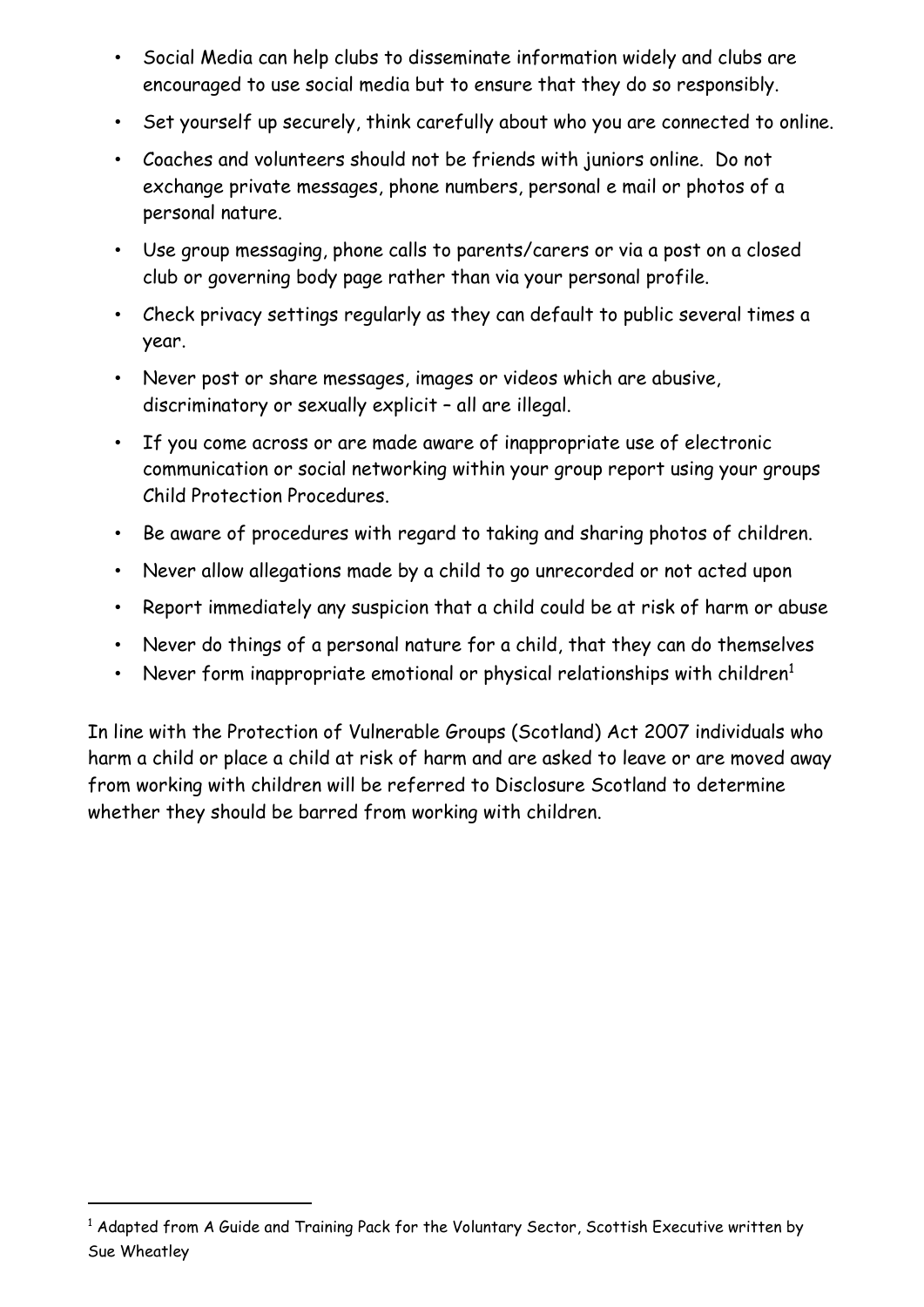- Social Media can help clubs to disseminate information widely and clubs are encouraged to use social media but to ensure that they do so responsibly.
- Set yourself up securely, think carefully about who you are connected to online.
- Coaches and volunteers should not be friends with juniors online. Do not exchange private messages, phone numbers, personal e mail or photos of a personal nature.
- Use group messaging, phone calls to parents/carers or via a post on a closed club or governing body page rather than via your personal profile.
- Check privacy settings regularly as they can default to public several times a year.
- Never post or share messages, images or videos which are abusive, discriminatory or sexually explicit – all are illegal.
- If you come across or are made aware of inappropriate use of electronic communication or social networking within your group report using your groups Child Protection Procedures.
- Be aware of procedures with regard to taking and sharing photos of children.
- Never allow allegations made by a child to go unrecorded or not acted upon
- Report immediately any suspicion that a child could be at risk of harm or abuse
- Never do things of a personal nature for a child, that they can do themselves
- Never form inappropriate emotional or physical relationships with children $1$

In line with the Protection of Vulnerable Groups (Scotland) Act 2007 individuals who harm a child or place a child at risk of harm and are asked to leave or are moved away from working with children will be referred to Disclosure Scotland to determine whether they should be barred from working with children.

-

<sup>&</sup>lt;sup>1</sup> Adapted from A Guide and Training Pack for the Voluntary Sector, Scottish Executive written by Sue Wheatley